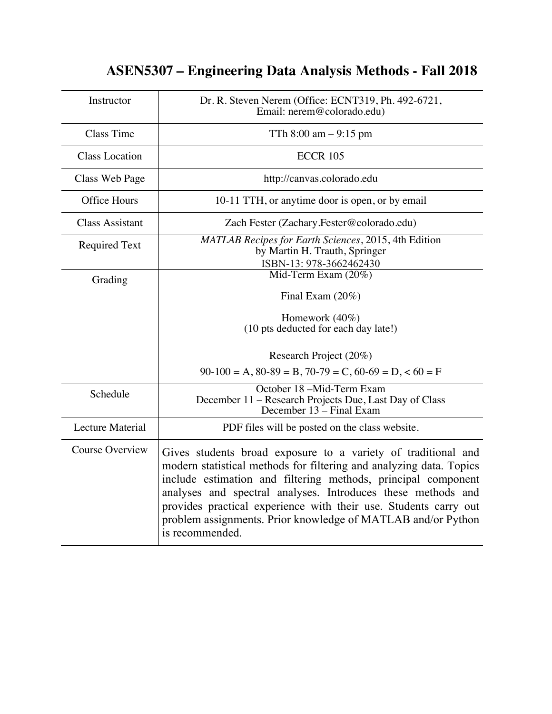# **ASEN5307 – Engineering Data Analysis Methods - Fall 2018**

| Instructor              | Dr. R. Steven Nerem (Office: ECNT319, Ph. 492-6721,<br>Email: nerem@colorado.edu)                                                                                                                                                                                                                                                                                                                                            |
|-------------------------|------------------------------------------------------------------------------------------------------------------------------------------------------------------------------------------------------------------------------------------------------------------------------------------------------------------------------------------------------------------------------------------------------------------------------|
| <b>Class Time</b>       | TTh $8:00 \text{ am} - 9:15 \text{ pm}$                                                                                                                                                                                                                                                                                                                                                                                      |
| <b>Class Location</b>   | <b>ECCR 105</b>                                                                                                                                                                                                                                                                                                                                                                                                              |
| Class Web Page          | http://canvas.colorado.edu                                                                                                                                                                                                                                                                                                                                                                                                   |
| <b>Office Hours</b>     | 10-11 TTH, or anytime door is open, or by email                                                                                                                                                                                                                                                                                                                                                                              |
| <b>Class Assistant</b>  | Zach Fester (Zachary.Fester@colorado.edu)                                                                                                                                                                                                                                                                                                                                                                                    |
| <b>Required Text</b>    | MATLAB Recipes for Earth Sciences, 2015, 4th Edition<br>by Martin H. Trauth, Springer<br>ISBN-13: 978-3662462430                                                                                                                                                                                                                                                                                                             |
| Grading                 | Mid-Term Exam (20%)<br>Final Exam $(20\%)$<br>Homework $(40\%)$<br>(10 pts deducted for each day late!)                                                                                                                                                                                                                                                                                                                      |
|                         | Research Project (20%)<br>$90-100 = A$ , $80-89 = B$ , $70-79 = C$ , $60-69 = D$ , $< 60 = F$                                                                                                                                                                                                                                                                                                                                |
| Schedule                | October 18 -Mid-Term Exam<br>December 11 - Research Projects Due, Last Day of Class<br>December 13 – Final Exam                                                                                                                                                                                                                                                                                                              |
| <b>Lecture Material</b> | PDF files will be posted on the class website.                                                                                                                                                                                                                                                                                                                                                                               |
| <b>Course Overview</b>  | Gives students broad exposure to a variety of traditional and<br>modern statistical methods for filtering and analyzing data. Topics<br>include estimation and filtering methods, principal component<br>analyses and spectral analyses. Introduces these methods and<br>provides practical experience with their use. Students carry out<br>problem assignments. Prior knowledge of MATLAB and/or Python<br>is recommended. |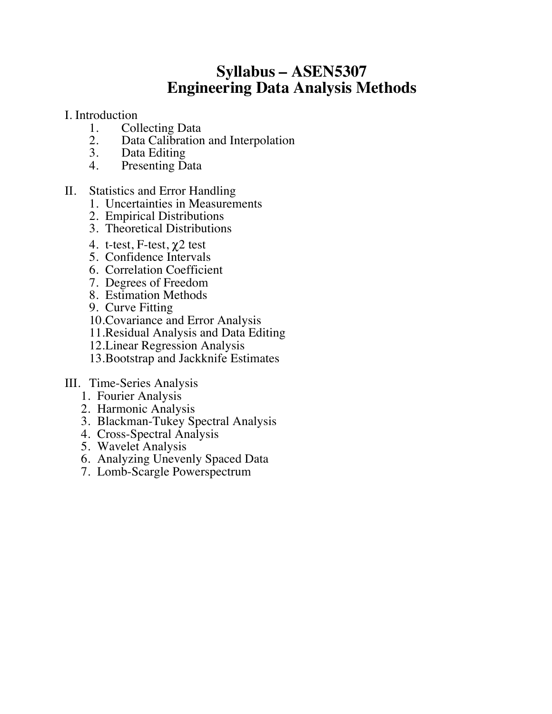## **Syllabus – ASEN5307 Engineering Data Analysis Methods**

- I. Introduction
	- 1. Collecting Data<br>2. Data Calibration
	- 2. Data Calibration and Interpolation<br>3. Data Editing
	- Data Editing
	- 4. Presenting Data
- II. Statistics and Error Handling
	- 1. Uncertainties in Measurements
	- 2. Empirical Distributions
	- 3. Theoretical Distributions
	- 4. t-test, F-test,  $\chi$ 2 test
	- 5. Confidence Intervals
	- 6. Correlation Coefficient
	- 7. Degrees of Freedom
	- 8. Estimation Methods
	- 9. Curve Fitting
	- 10.Covariance and Error Analysis
	- 11.Residual Analysis and Data Editing
	- 12.Linear Regression Analysis
	- 13.Bootstrap and Jackknife Estimates
- III. Time-Series Analysis
	- 1. Fourier Analysis
	- 2. Harmonic Analysis
	- 3. Blackman-Tukey Spectral Analysis
	- 4. Cross-Spectral Analysis
	- 5. Wavelet Analysis
	- 6. Analyzing Unevenly Spaced Data
	- 7. Lomb-Scargle Powerspectrum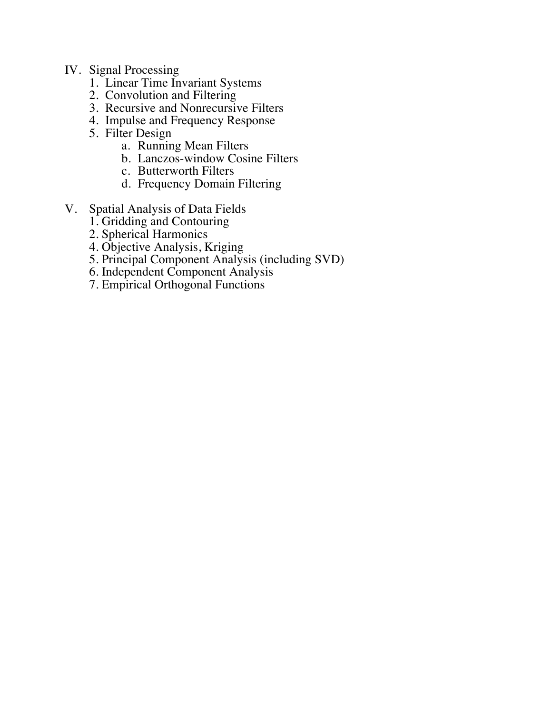### IV. Signal Processing

- 1. Linear Time Invariant Systems
- 2. Convolution and Filtering
- 3. Recursive and Nonrecursive Filters
- 4. Impulse and Frequency Response
- 5. Filter Design
	- a. Running Mean Filters
	- b. Lanczos-window Cosine Filters
	- c. Butterworth Filters
	- d. Frequency Domain Filtering
- V. Spatial Analysis of Data Fields
	- 1. Gridding and Contouring
	- 2. Spherical Harmonics
	- 4. Objective Analysis, Kriging
	- 5. Principal Component Analysis (including SVD)
	- 6. Independent Component Analysis
	- 7. Empirical Orthogonal Functions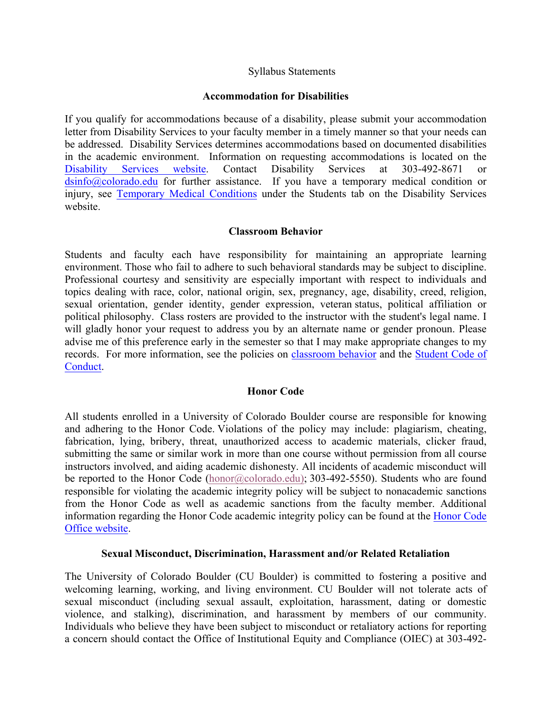#### Syllabus Statements

#### **Accommodation for Disabilities**

If you qualify for accommodations because of a disability, please submit your accommodation letter from Disability Services to your faculty member in a timely manner so that your needs can be addressed. Disability Services determines accommodations based on documented disabilities in the academic environment. Information on requesting accommodations is located on the Disability Services website. Contact Disability Services at 303-492-8671 dsinfo@colorado.edu for further assistance. If you have a temporary medical condition or injury, see Temporary Medical Conditions under the Students tab on the Disability Services website.

#### **Classroom Behavior**

Students and faculty each have responsibility for maintaining an appropriate learning environment. Those who fail to adhere to such behavioral standards may be subject to discipline. Professional courtesy and sensitivity are especially important with respect to individuals and topics dealing with race, color, national origin, sex, pregnancy, age, disability, creed, religion, sexual orientation, gender identity, gender expression, veteran status, political affiliation or political philosophy. Class rosters are provided to the instructor with the student's legal name. I will gladly honor your request to address you by an alternate name or gender pronoun. Please advise me of this preference early in the semester so that I may make appropriate changes to my records. For more information, see the policies on classroom behavior and the Student Code of Conduct.

#### **Honor Code**

All students enrolled in a University of Colorado Boulder course are responsible for knowing and adhering to the Honor Code. Violations of the policy may include: plagiarism, cheating, fabrication, lying, bribery, threat, unauthorized access to academic materials, clicker fraud, submitting the same or similar work in more than one course without permission from all course instructors involved, and aiding academic dishonesty. All incidents of academic misconduct will be reported to the Honor Code (honor@colorado.edu); 303-492-5550). Students who are found responsible for violating the academic integrity policy will be subject to nonacademic sanctions from the Honor Code as well as academic sanctions from the faculty member. Additional information regarding the Honor Code academic integrity policy can be found at the Honor Code Office website.

#### **Sexual Misconduct, Discrimination, Harassment and/or Related Retaliation**

The University of Colorado Boulder (CU Boulder) is committed to fostering a positive and welcoming learning, working, and living environment. CU Boulder will not tolerate acts of sexual misconduct (including sexual assault, exploitation, harassment, dating or domestic violence, and stalking), discrimination, and harassment by members of our community. Individuals who believe they have been subject to misconduct or retaliatory actions for reporting a concern should contact the Office of Institutional Equity and Compliance (OIEC) at 303-492